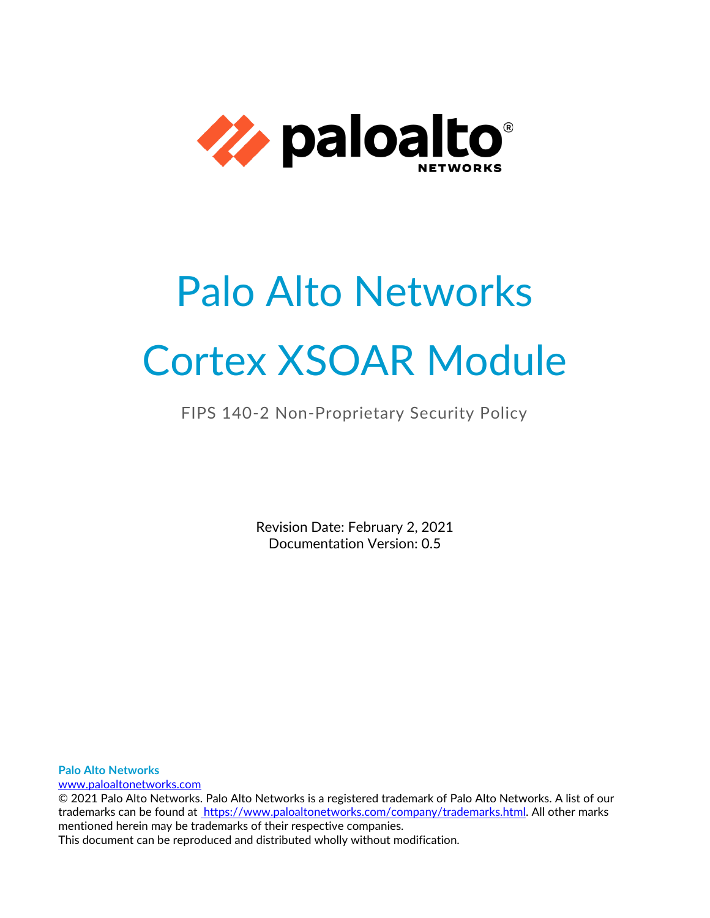

# Palo Alto Networks Cortex XSOAR Module

# FIPS 140-2 Non-Proprietary Security Policy

Revision Date: February 2, 2021 Documentation Version: 0.5

**Palo Alto Networks**

[www.paloaltonetworks.com](http://www.paloaltonetworks.com/)

© 2021 Palo Alto Networks. Palo Alto Networks is a registered trademark of Palo Alto Networks. A list of our trademarks can be found at [https://www.paloaltonetworks.com/company/trademarks.html.](https://www.paloaltonetworks.com/company/trademarks.html) All other marks mentioned herein may be trademarks of their respective companies. This document can be reproduced and distributed wholly without modification.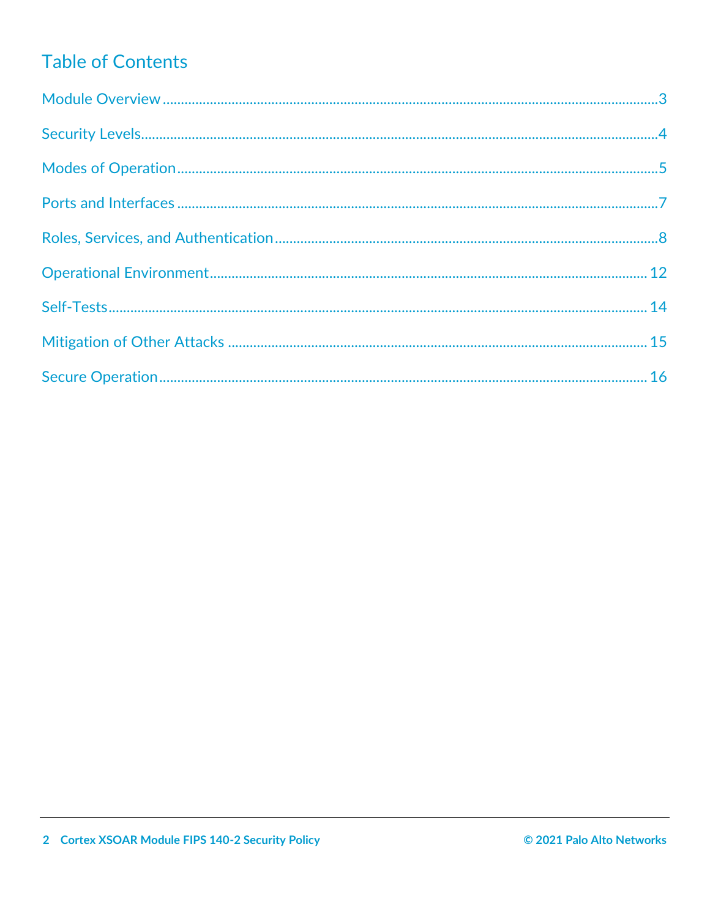# **Table of Contents**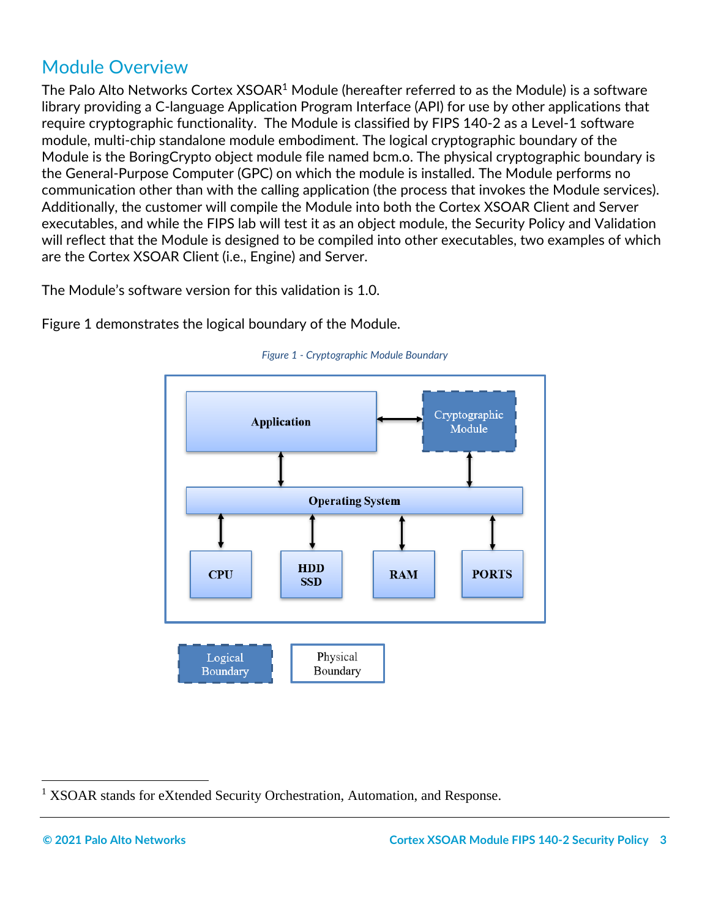# <span id="page-2-0"></span>Module Overview

The Palo Alto Networks Cortex XSOAR<sup>1</sup> Module (hereafter referred to as the Module) is a software library providing a C-language Application Program Interface (API) for use by other applications that require cryptographic functionality. The Module is classified by FIPS 140-2 as a Level-1 software module, multi-chip standalone module embodiment. The logical cryptographic boundary of the Module is the BoringCrypto object module file named bcm.o. The physical cryptographic boundary is the General-Purpose Computer (GPC) on which the module is installed. The Module performs no communication other than with the calling application (the process that invokes the Module services). Additionally, the customer will compile the Module into both the Cortex XSOAR Client and Server executables, and while the FIPS lab will test it as an object module, the Security Policy and Validation will reflect that the Module is designed to be compiled into other executables, two examples of which are the Cortex XSOAR Client (i.e., Engine) and Server.

The Module's software version for this validation is 1.0.

Figure 1 demonstrates the logical boundary of the Module.





<sup>&</sup>lt;sup>1</sup> XSOAR stands for eXtended Security Orchestration, Automation, and Response.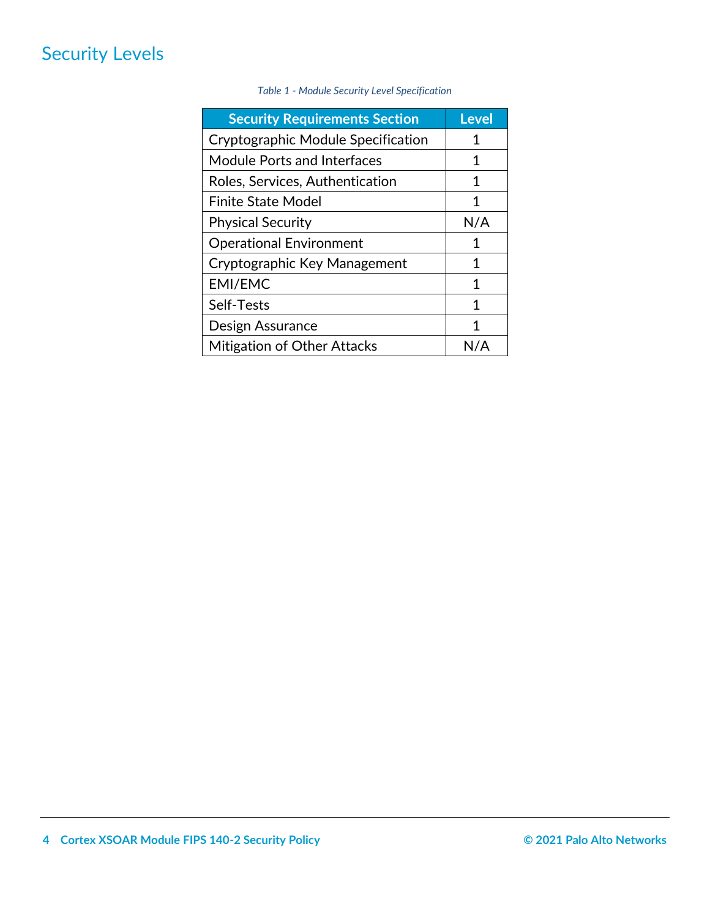# <span id="page-3-0"></span>Security Levels

<span id="page-3-1"></span>

| <b>Security Requirements Section</b> | <b>Level</b> |
|--------------------------------------|--------------|
| Cryptographic Module Specification   | 1            |
| Module Ports and Interfaces          | 1            |
| Roles, Services, Authentication      | 1            |
| <b>Finite State Model</b>            | 1            |
| <b>Physical Security</b>             | N/A          |
| <b>Operational Environment</b>       | 1            |
| Cryptographic Key Management         | 1            |
| <b>EMI/EMC</b>                       | 1            |
| Self-Tests                           | 1            |
| Design Assurance                     | 1            |
| Mitigation of Other Attacks          |              |

## *Table 1 - Module Security Level Specification*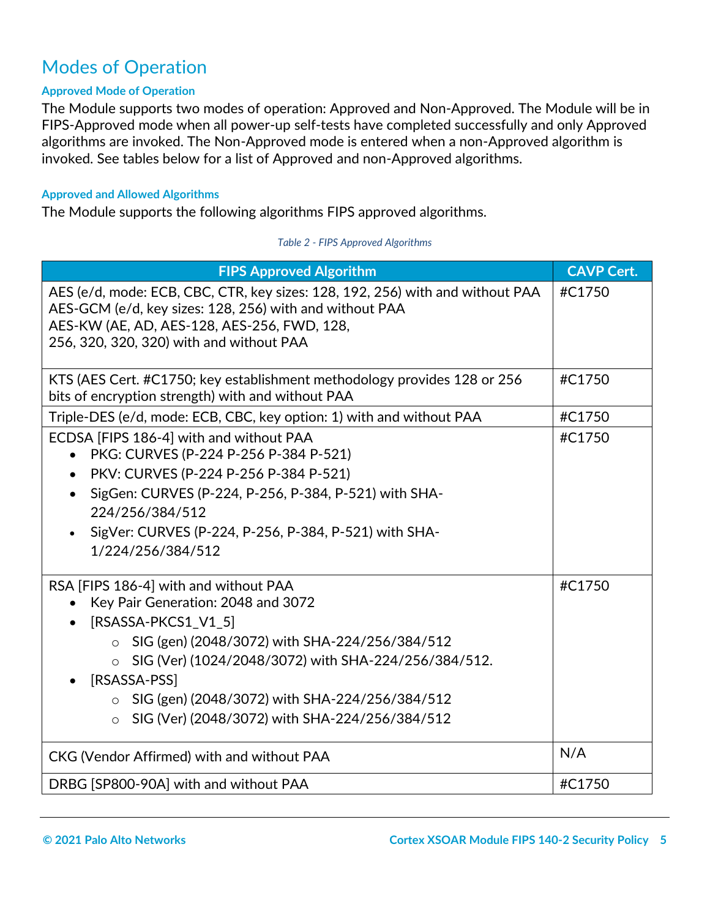# Modes of Operation

## **Approved Mode of Operation**

The Module supports two modes of operation: Approved and Non-Approved. The Module will be in FIPS-Approved mode when all power-up self-tests have completed successfully and only Approved algorithms are invoked. The Non-Approved mode is entered when a non-Approved algorithm is invoked. See tables below for a list of Approved and non-Approved algorithms.

## **Approved and Allowed Algorithms**

The Module supports the following algorithms FIPS approved algorithms.

#### *Table 2 - FIPS Approved Algorithms*

| <b>FIPS Approved Algorithm</b>                                                                                                                                                                                                                                                                                                                           | <b>CAVP Cert.</b> |
|----------------------------------------------------------------------------------------------------------------------------------------------------------------------------------------------------------------------------------------------------------------------------------------------------------------------------------------------------------|-------------------|
| AES (e/d, mode: ECB, CBC, CTR, key sizes: 128, 192, 256) with and without PAA<br>AES-GCM (e/d, key sizes: 128, 256) with and without PAA<br>AES-KW (AE, AD, AES-128, AES-256, FWD, 128,<br>256, 320, 320, 320) with and without PAA                                                                                                                      | #C1750            |
| KTS (AES Cert. #C1750; key establishment methodology provides 128 or 256<br>bits of encryption strength) with and without PAA                                                                                                                                                                                                                            | #C1750            |
| Triple-DES (e/d, mode: ECB, CBC, key option: 1) with and without PAA                                                                                                                                                                                                                                                                                     | #C1750            |
| ECDSA [FIPS 186-4] with and without PAA<br>PKG: CURVES (P-224 P-256 P-384 P-521)<br>PKV: CURVES (P-224 P-256 P-384 P-521)<br>$\bullet$<br>SigGen: CURVES (P-224, P-256, P-384, P-521) with SHA-<br>$\bullet$<br>224/256/384/512<br>SigVer: CURVES (P-224, P-256, P-384, P-521) with SHA-<br>1/224/256/384/512                                            | #C1750            |
| RSA [FIPS 186-4] with and without PAA<br>Key Pair Generation: 2048 and 3072<br>[RSASSA-PKCS1_V1_5]<br>$\bullet$<br>SIG (gen) (2048/3072) with SHA-224/256/384/512<br>SIG (Ver) (1024/2048/3072) with SHA-224/256/384/512.<br>[RSASSA-PSS]<br>SIG (gen) (2048/3072) with SHA-224/256/384/512<br>SIG (Ver) (2048/3072) with SHA-224/256/384/512<br>$\circ$ | #C1750            |
| CKG (Vendor Affirmed) with and without PAA                                                                                                                                                                                                                                                                                                               | N/A               |
| DRBG [SP800-90A] with and without PAA                                                                                                                                                                                                                                                                                                                    | #C1750            |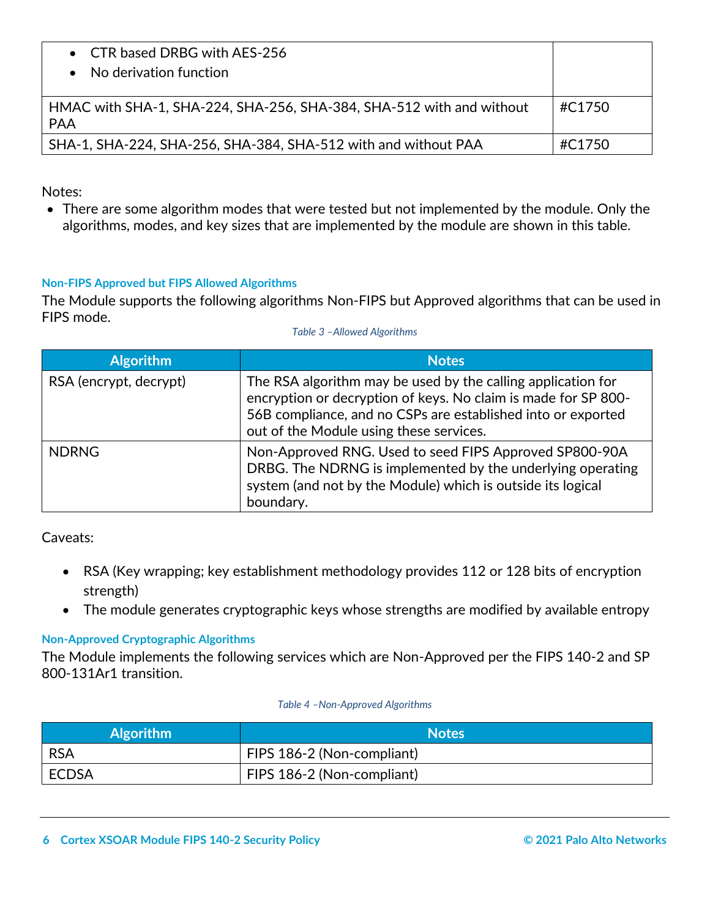| • CTR based DRBG with AES-256<br>No derivation function                            |        |
|------------------------------------------------------------------------------------|--------|
| HMAC with SHA-1, SHA-224, SHA-256, SHA-384, SHA-512 with and without<br><b>PAA</b> | #C1750 |
| SHA-1, SHA-224, SHA-256, SHA-384, SHA-512 with and without PAA                     | #C1750 |

Notes:

• There are some algorithm modes that were tested but not implemented by the module. Only the algorithms, modes, and key sizes that are implemented by the module are shown in this table.

# **Non-FIPS Approved but FIPS Allowed Algorithms**

The Module supports the following algorithms Non-FIPS but Approved algorithms that can be used in FIPS mode.

| <b>Algorithm</b>       | <b>Notes</b>                                                                                                                                                                                                                              |
|------------------------|-------------------------------------------------------------------------------------------------------------------------------------------------------------------------------------------------------------------------------------------|
| RSA (encrypt, decrypt) | The RSA algorithm may be used by the calling application for<br>encryption or decryption of keys. No claim is made for SP 800-<br>56B compliance, and no CSPs are established into or exported<br>out of the Module using these services. |
| <b>NDRNG</b>           | Non-Approved RNG. Used to seed FIPS Approved SP800-90A<br>DRBG. The NDRNG is implemented by the underlying operating<br>system (and not by the Module) which is outside its logical<br>boundary.                                          |

Caveats:

- RSA (Key wrapping; key establishment methodology provides 112 or 128 bits of encryption strength)
- The module generates cryptographic keys whose strengths are modified by available entropy

# **Non-Approved Cryptographic Algorithms**

The Module implements the following services which are Non-Approved per the FIPS 140-2 and SP 800-131Ar1 transition.

#### *Table 4 –Non-Approved Algorithms*

| <b>Algorithm</b> | <b>Notes</b>               |
|------------------|----------------------------|
| <b>RSA</b>       | FIPS 186-2 (Non-compliant) |
| l ECDSA          | FIPS 186-2 (Non-compliant) |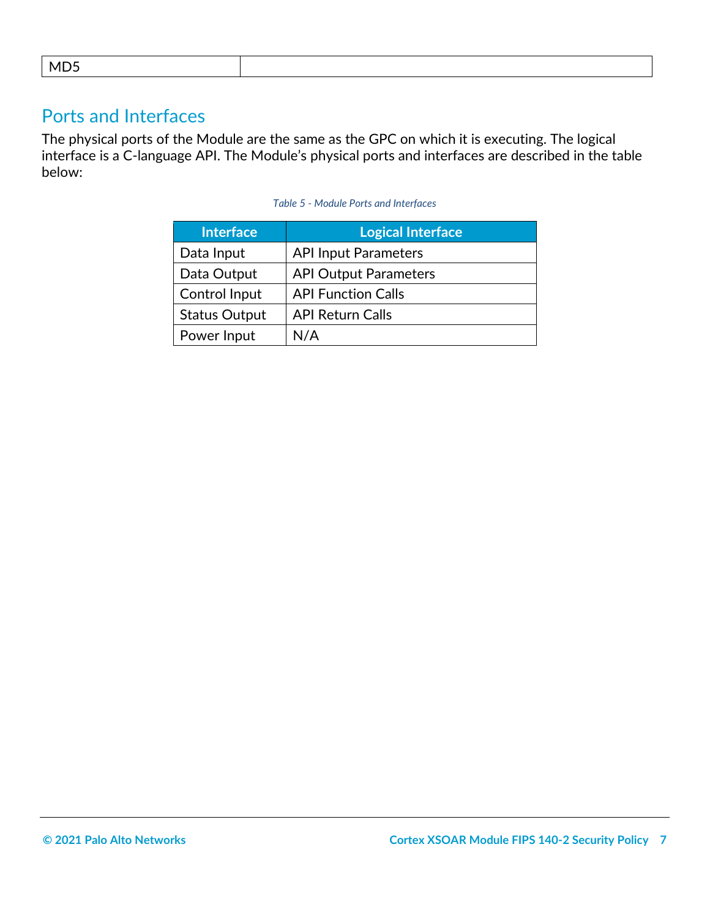<span id="page-6-0"></span>

|--|

# Ports and Interfaces

The physical ports of the Module are the same as the GPC on which it is executing. The logical interface is a C-language API. The Module's physical ports and interfaces are described in the table below:

<span id="page-6-1"></span>

| <b>Interface</b>     | <b>Logical Interface</b>     |
|----------------------|------------------------------|
| Data Input           | <b>API Input Parameters</b>  |
| Data Output          | <b>API Output Parameters</b> |
| Control Input        | <b>API Function Calls</b>    |
| <b>Status Output</b> | <b>API Return Calls</b>      |
| Power Input          | N/A                          |

#### *Table 5 - Module Ports and Interfaces*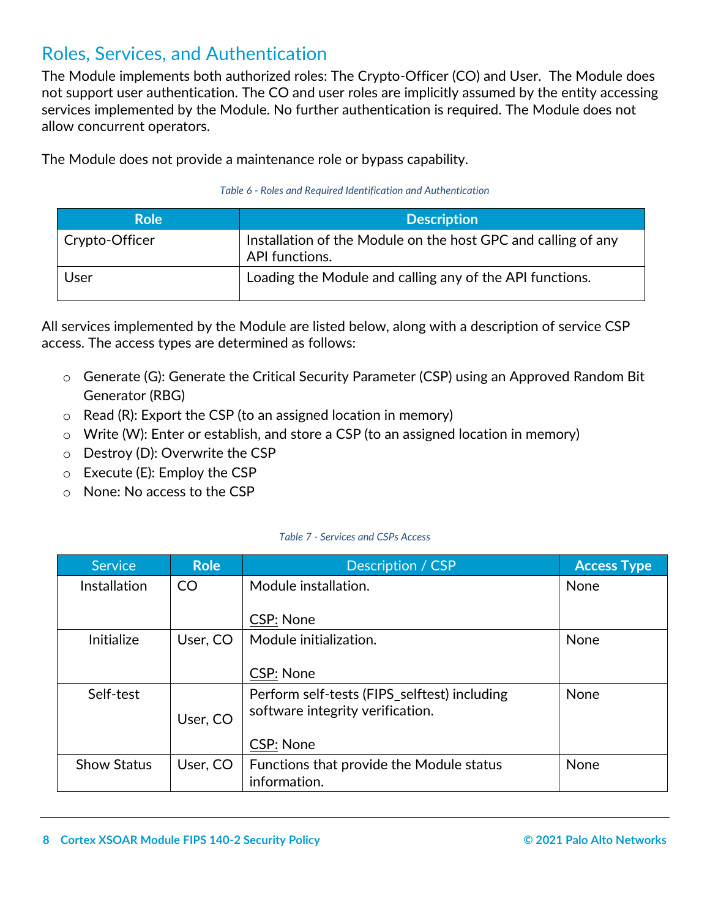# Roles, Services, and Authentication

The Module implements both authorized roles: The Crypto-Officer (CO) and User. The Module does not support user authentication. The CO and user roles are implicitly assumed by the entity accessing services implemented by the Module. No further authentication is required. The Module does not allow concurrent operators.

The Module does not provide a maintenance role or bypass capability.

## *Table 6 - Roles and Required Identification and Authentication*

| <b>Role</b>    | <b>Description</b>                                                              |
|----------------|---------------------------------------------------------------------------------|
| Crypto-Officer | Installation of the Module on the host GPC and calling of any<br>API functions. |
| User           | Loading the Module and calling any of the API functions.                        |

All services implemented by the Module are listed below, along with a description of service CSP access. The access types are determined as follows:

- o Generate (G): Generate the Critical Security Parameter (CSP) using an Approved Random Bit Generator (RBG)
- $\circ$  Read (R): Export the CSP (to an assigned location in memory)
- o Write (W): Enter or establish, and store a CSP (to an assigned location in memory)
- o Destroy (D): Overwrite the CSP
- o Execute (E): Employ the CSP
- o None: No access to the CSP

## *Table 7 - Services and CSPs Access*

| <b>Service</b>      | <b>Role</b> | Description / CSP                            | <b>Access Type</b> |
|---------------------|-------------|----------------------------------------------|--------------------|
| <b>Installation</b> | <b>CO</b>   | Module installation.                         | None               |
|                     |             | <b>CSP: None</b>                             |                    |
| Initialize          | User, CO    | Module initialization.                       | None               |
|                     |             | <b>CSP: None</b>                             |                    |
| Self-test           |             | Perform self-tests (FIPS_selftest) including | None               |
|                     | User, CO    | software integrity verification.             |                    |
|                     |             | <b>CSP: None</b>                             |                    |
| <b>Show Status</b>  | User, CO    | Functions that provide the Module status     | None               |
|                     |             | information.                                 |                    |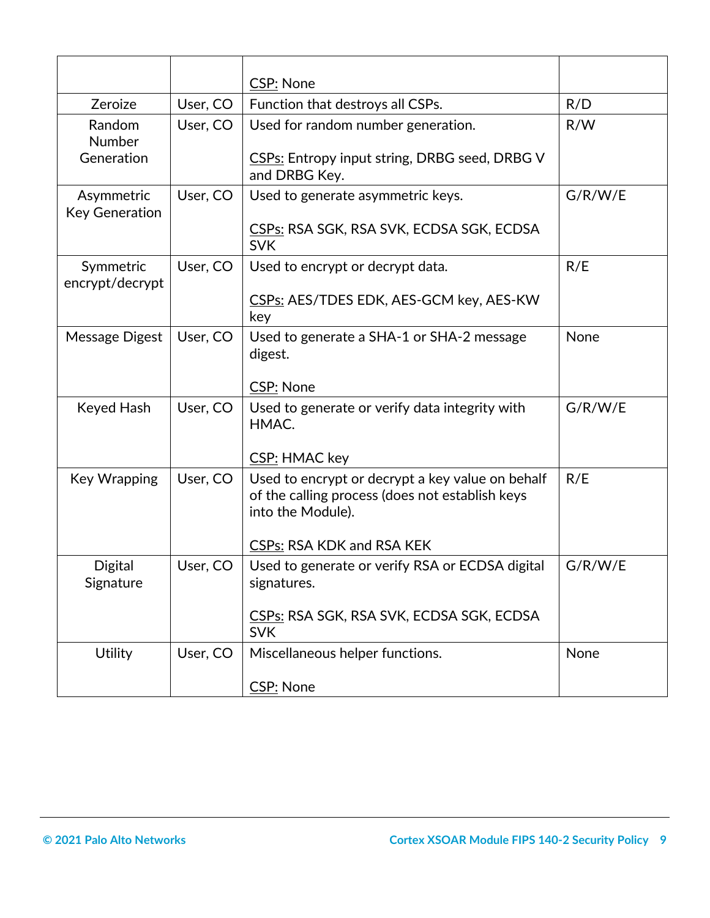|                                     |          | <b>CSP: None</b>                                                                                                         |         |
|-------------------------------------|----------|--------------------------------------------------------------------------------------------------------------------------|---------|
| Zeroize                             | User, CO | Function that destroys all CSPs.                                                                                         | R/D     |
| Random<br>Number                    | User, CO | Used for random number generation.                                                                                       | R/W     |
| Generation                          |          | CSPs: Entropy input string, DRBG seed, DRBG V<br>and DRBG Key.                                                           |         |
| Asymmetric<br><b>Key Generation</b> | User, CO | Used to generate asymmetric keys.                                                                                        | G/R/W/E |
|                                     |          | CSPs: RSA SGK, RSA SVK, ECDSA SGK, ECDSA<br><b>SVK</b>                                                                   |         |
| Symmetric<br>encrypt/decrypt        | User, CO | Used to encrypt or decrypt data.                                                                                         | R/E     |
|                                     |          | CSPs: AES/TDES EDK, AES-GCM key, AES-KW<br>key                                                                           |         |
| Message Digest                      | User, CO | Used to generate a SHA-1 or SHA-2 message<br>digest.                                                                     | None    |
|                                     |          | <b>CSP: None</b>                                                                                                         |         |
| Keyed Hash                          | User, CO | Used to generate or verify data integrity with<br>HMAC.                                                                  | G/R/W/E |
|                                     |          | CSP: HMAC key                                                                                                            |         |
| <b>Key Wrapping</b>                 | User, CO | Used to encrypt or decrypt a key value on behalf<br>of the calling process (does not establish keys<br>into the Module). | R/E     |
|                                     |          | <b>CSPs: RSA KDK and RSA KEK</b>                                                                                         |         |
| <b>Digital</b><br>Signature         | User, CO | Used to generate or verify RSA or ECDSA digital<br>signatures.                                                           | G/R/W/E |
|                                     |          | CSPs: RSA SGK, RSA SVK, ECDSA SGK, ECDSA<br><b>SVK</b>                                                                   |         |
| Utility                             | User, CO | Miscellaneous helper functions.                                                                                          | None    |
|                                     |          | <b>CSP: None</b>                                                                                                         |         |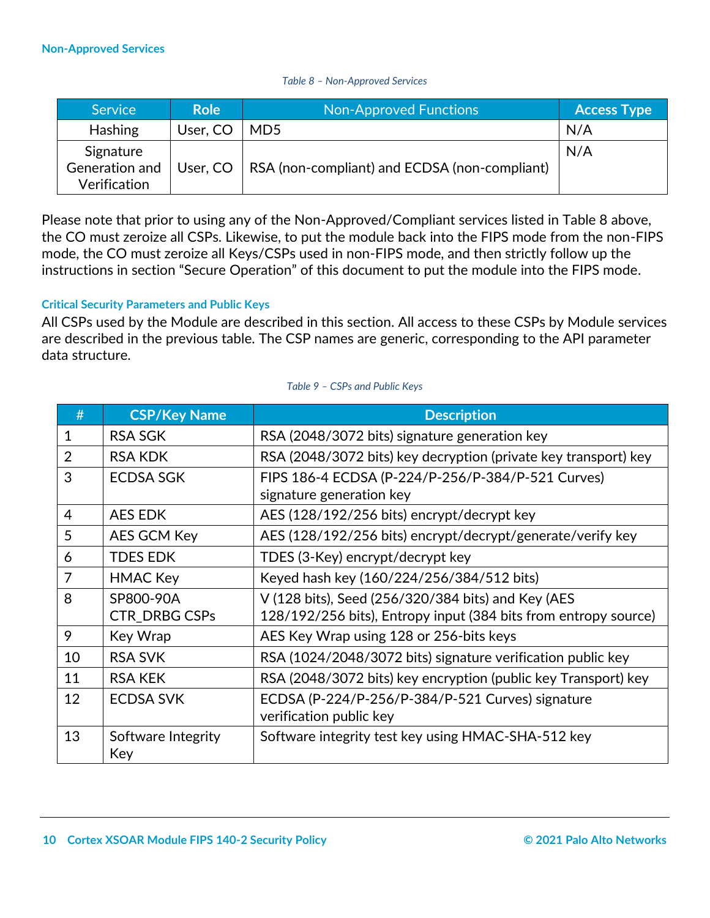#### *Table 8 – Non-Approved Services*

| Service                                     | <b>Role</b> | Non-Approved Functions                        | <b>Access Type</b> |
|---------------------------------------------|-------------|-----------------------------------------------|--------------------|
| <b>Hashing</b>                              | User, CO    | MD <sub>5</sub>                               | N/A                |
| Signature<br>Generation and<br>Verification | User, CO    | RSA (non-compliant) and ECDSA (non-compliant) | N/A                |

Please note that prior to using any of the Non-Approved/Compliant services listed in Table 8 above, the CO must zeroize all CSPs. Likewise, to put the module back into the FIPS mode from the non-FIPS mode, the CO must zeroize all Keys/CSPs used in non-FIPS mode, and then strictly follow up the instructions in section "Secure Operation" of this document to put the module into the FIPS mode.

## **Critical Security Parameters and Public Keys**

All CSPs used by the Module are described in this section. All access to these CSPs by Module services are described in the previous table. The CSP names are generic, corresponding to the API parameter data structure.

| #              | <b>CSP/Key Name</b>               | <b>Description</b>                                                                                                    |  |
|----------------|-----------------------------------|-----------------------------------------------------------------------------------------------------------------------|--|
| $\mathbf{1}$   | <b>RSA SGK</b>                    | RSA (2048/3072 bits) signature generation key                                                                         |  |
| 2              | <b>RSA KDK</b>                    | RSA (2048/3072 bits) key decryption (private key transport) key                                                       |  |
| 3              | <b>ECDSA SGK</b>                  | FIPS 186-4 ECDSA (P-224/P-256/P-384/P-521 Curves)<br>signature generation key                                         |  |
| $\overline{4}$ | <b>AES EDK</b>                    | AES (128/192/256 bits) encrypt/decrypt key                                                                            |  |
| 5              | AES GCM Key                       | AES (128/192/256 bits) encrypt/decrypt/generate/verify key                                                            |  |
| 6              | <b>TDES EDK</b>                   | TDES (3-Key) encrypt/decrypt key                                                                                      |  |
| $\overline{7}$ | <b>HMAC Key</b>                   | Keyed hash key (160/224/256/384/512 bits)                                                                             |  |
| 8              | SP800-90A<br><b>CTR DRBG CSPs</b> | V (128 bits), Seed (256/320/384 bits) and Key (AES<br>128/192/256 bits), Entropy input (384 bits from entropy source) |  |
| 9              | Key Wrap                          | AES Key Wrap using 128 or 256-bits keys                                                                               |  |
| 10             | <b>RSA SVK</b>                    | RSA (1024/2048/3072 bits) signature verification public key                                                           |  |
| 11             | <b>RSA KEK</b>                    | RSA (2048/3072 bits) key encryption (public key Transport) key                                                        |  |
| 12             | <b>ECDSA SVK</b>                  | ECDSA (P-224/P-256/P-384/P-521 Curves) signature<br>verification public key                                           |  |
| 13             | Software Integrity<br>Key         | Software integrity test key using HMAC-SHA-512 key                                                                    |  |

#### *Table 9 – CSPs and Public Keys*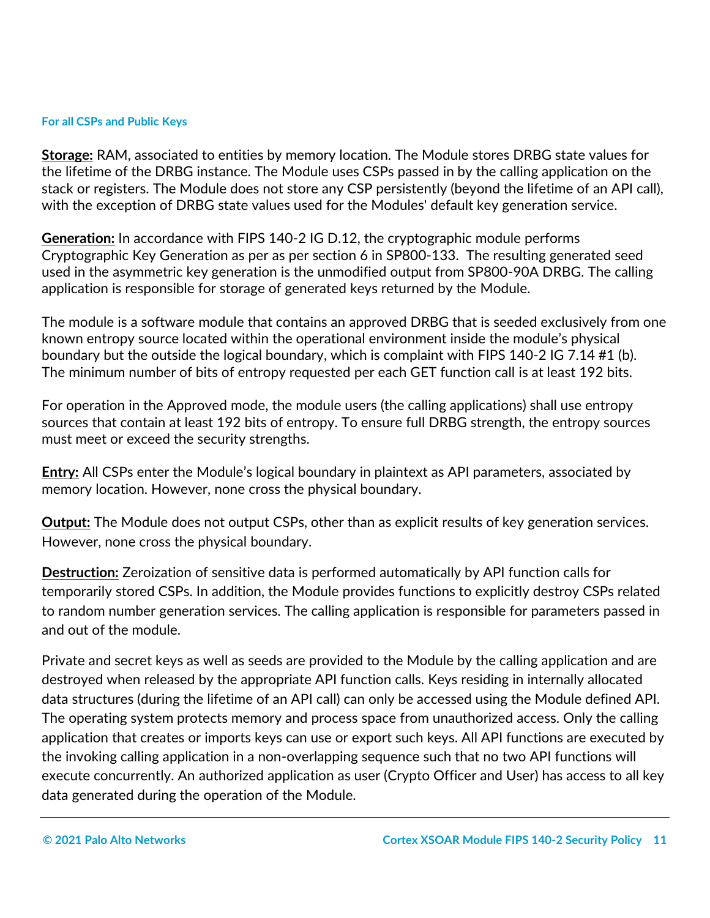## **For all CSPs and Public Keys**

**Storage:** RAM, associated to entities by memory location. The Module stores DRBG state values for the lifetime of the DRBG instance. The Module uses CSPs passed in by the calling application on the stack or registers. The Module does not store any CSP persistently (beyond the lifetime of an API call), with the exception of DRBG state values used for the Modules' default key generation service.

**Generation:** In accordance with FIPS 140-2 IG D.12, the cryptographic module performs Cryptographic Key Generation as per as per section 6 in SP800-133. The resulting generated seed used in the asymmetric key generation is the unmodified output from SP800-90A DRBG. The calling application is responsible for storage of generated keys returned by the Module.

The module is a software module that contains an approved DRBG that is seeded exclusively from one known entropy source located within the operational environment inside the module's physical boundary but the outside the logical boundary, which is complaint with FIPS 140-2 IG 7.14 #1 (b). The minimum number of bits of entropy requested per each GET function call is at least 192 bits.

For operation in the Approved mode, the module users (the calling applications) shall use entropy sources that contain at least 192 bits of entropy. To ensure full DRBG strength, the entropy sources must meet or exceed the security strengths.

**Entry:** All CSPs enter the Module's logical boundary in plaintext as API parameters, associated by memory location. However, none cross the physical boundary.

**Output:** The Module does not output CSPs, other than as explicit results of key generation services. However, none cross the physical boundary.

**Destruction:** Zeroization of sensitive data is performed automatically by API function calls for temporarily stored CSPs. In addition, the Module provides functions to explicitly destroy CSPs related to random number generation services. The calling application is responsible for parameters passed in and out of the module.

Private and secret keys as well as seeds are provided to the Module by the calling application and are destroyed when released by the appropriate API function calls. Keys residing in internally allocated data structures (during the lifetime of an API call) can only be accessed using the Module defined API. The operating system protects memory and process space from unauthorized access. Only the calling application that creates or imports keys can use or export such keys. All API functions are executed by the invoking calling application in a non-overlapping sequence such that no two API functions will execute concurrently. An authorized application as user (Crypto Officer and User) has access to all key data generated during the operation of the Module.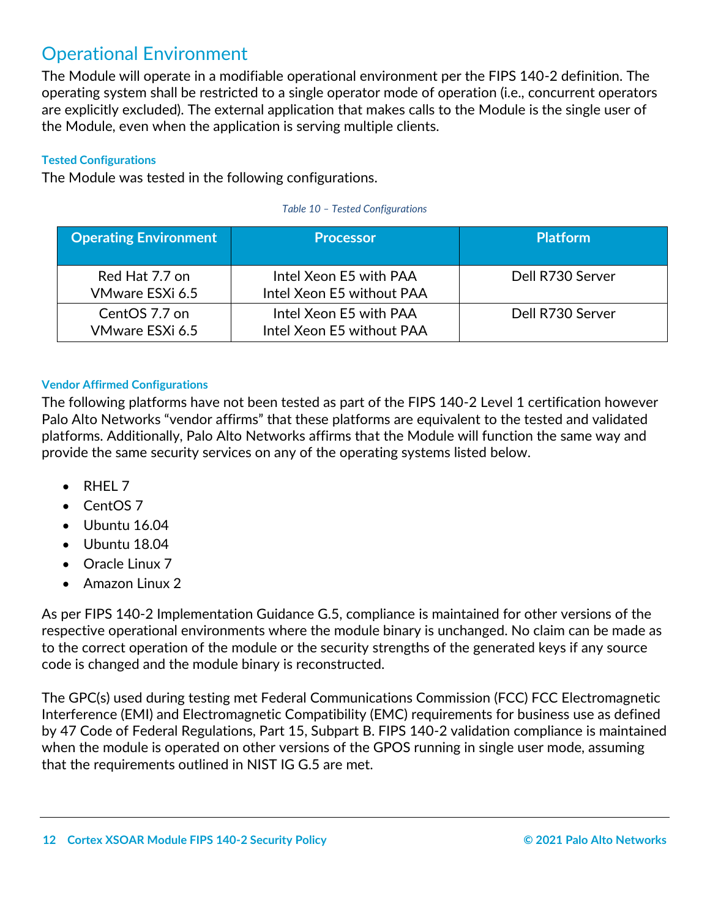# <span id="page-11-0"></span>Operational Environment

The Module will operate in a modifiable operational environment per the FIPS 140-2 definition. The operating system shall be restricted to a single operator mode of operation (i.e., concurrent operators are explicitly excluded). The external application that makes calls to the Module is the single user of the Module, even when the application is serving multiple clients.

## **Tested Configurations**

The Module was tested in the following configurations.

| <b>Operating Environment</b>      | <b>Processor</b>                                    | <b>Platform</b>  |
|-----------------------------------|-----------------------------------------------------|------------------|
| Red Hat 7.7 on<br>VMware ESXi 6.5 | Intel Xeon E5 with PAA<br>Intel Xeon E5 without PAA | Dell R730 Server |
| CentOS 7.7 on<br>VMware ESXi 6.5  | Intel Xeon E5 with PAA<br>Intel Xeon E5 without PAA | Dell R730 Server |

## *Table 10 – Tested Configurations*

# **Vendor Affirmed Configurations**

The following platforms have not been tested as part of the FIPS 140-2 Level 1 certification however Palo Alto Networks "vendor affirms" that these platforms are equivalent to the tested and validated platforms. Additionally, Palo Alto Networks affirms that the Module will function the same way and provide the same security services on any of the operating systems listed below.

- RHEL 7
- CentOS 7
- Ubuntu 16.04
- Ubuntu 18.04
- Oracle Linux 7
- Amazon Linux 2

As per FIPS 140-2 Implementation Guidance G.5, compliance is maintained for other versions of the respective operational environments where the module binary is unchanged. No claim can be made as to the correct operation of the module or the security strengths of the generated keys if any source code is changed and the module binary is reconstructed.

The GPC(s) used during testing met Federal Communications Commission (FCC) FCC Electromagnetic Interference (EMI) and Electromagnetic Compatibility (EMC) requirements for business use as defined by 47 Code of Federal Regulations, Part 15, Subpart B. FIPS 140-2 validation compliance is maintained when the module is operated on other versions of the GPOS running in single user mode, assuming that the requirements outlined in NIST IG G.5 are met.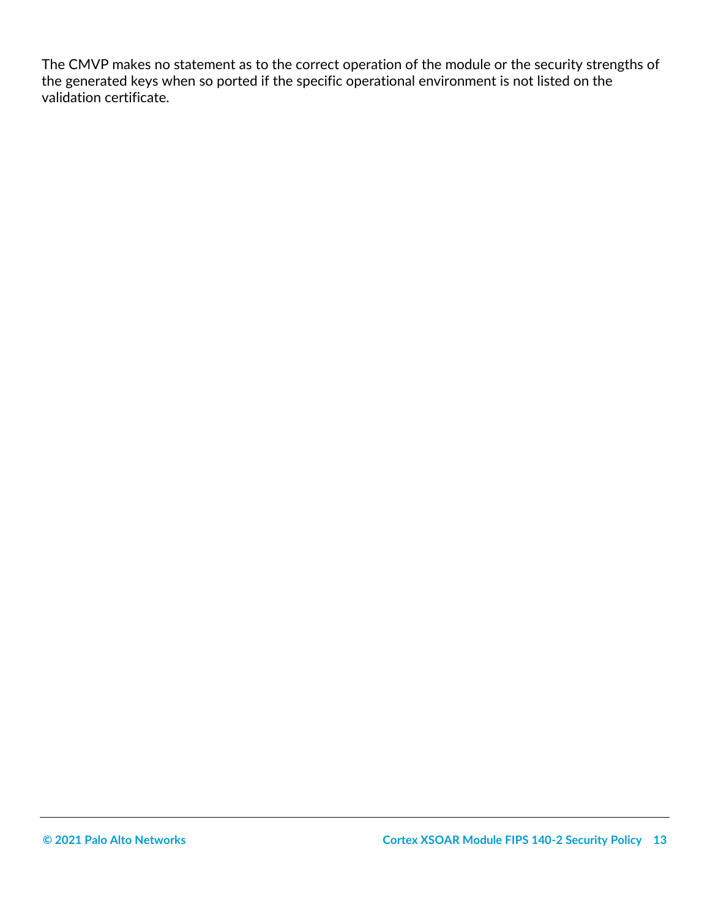<span id="page-12-0"></span>The CMVP makes no statement as to the correct operation of the module or the security strengths of the generated keys when so ported if the specific operational environment is not listed on the validation certificate.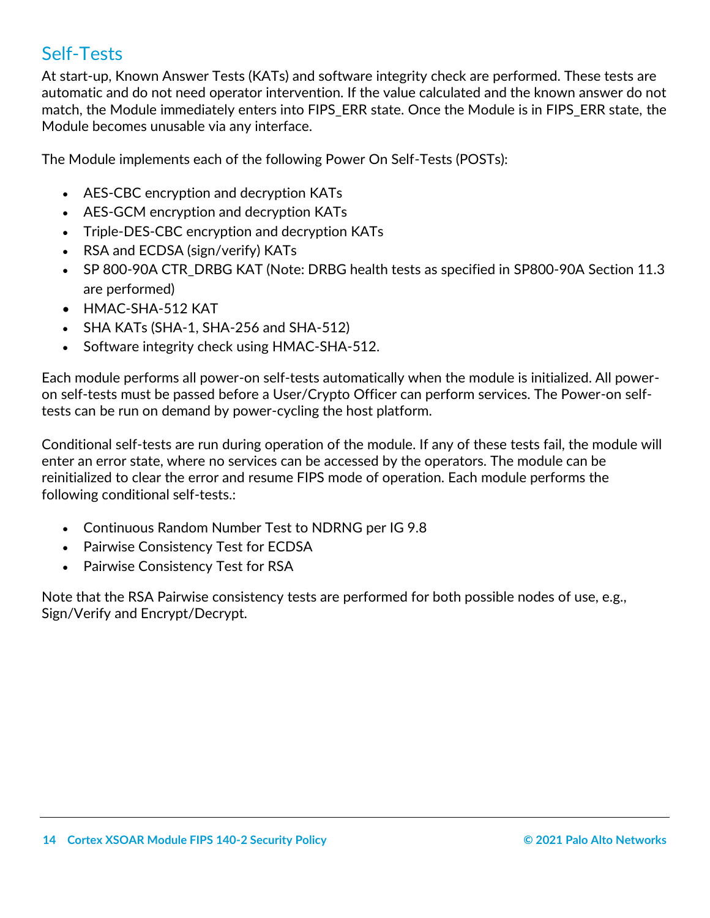# Self-Tests

At start-up, Known Answer Tests (KATs) and software integrity check are performed. These tests are automatic and do not need operator intervention. If the value calculated and the known answer do not match, the Module immediately enters into FIPS\_ERR state. Once the Module is in FIPS\_ERR state, the Module becomes unusable via any interface.

The Module implements each of the following Power On Self-Tests (POSTs):

- AES-CBC encryption and decryption KATs
- AES-GCM encryption and decryption KATs
- Triple-DES-CBC encryption and decryption KATs
- RSA and ECDSA (sign/verify) KATs
- SP 800-90A CTR\_DRBG KAT (Note: DRBG health tests as specified in SP800-90A Section 11.3 are performed)
- HMAC-SHA-512 KAT
- SHA KATs (SHA-1, SHA-256 and SHA-512)
- Software integrity check using HMAC-SHA-512.

Each module performs all power-on self-tests automatically when the module is initialized. All poweron self-tests must be passed before a User/Crypto Officer can perform services. The Power-on selftests can be run on demand by power-cycling the host platform.

Conditional self-tests are run during operation of the module. If any of these tests fail, the module will enter an error state, where no services can be accessed by the operators. The module can be reinitialized to clear the error and resume FIPS mode of operation. Each module performs the following conditional self-tests.:

- Continuous Random Number Test to NDRNG per IG 9.8
- Pairwise Consistency Test for ECDSA
- Pairwise Consistency Test for RSA

Note that the RSA Pairwise consistency tests are performed for both possible nodes of use, e.g., Sign/Verify and Encrypt/Decrypt.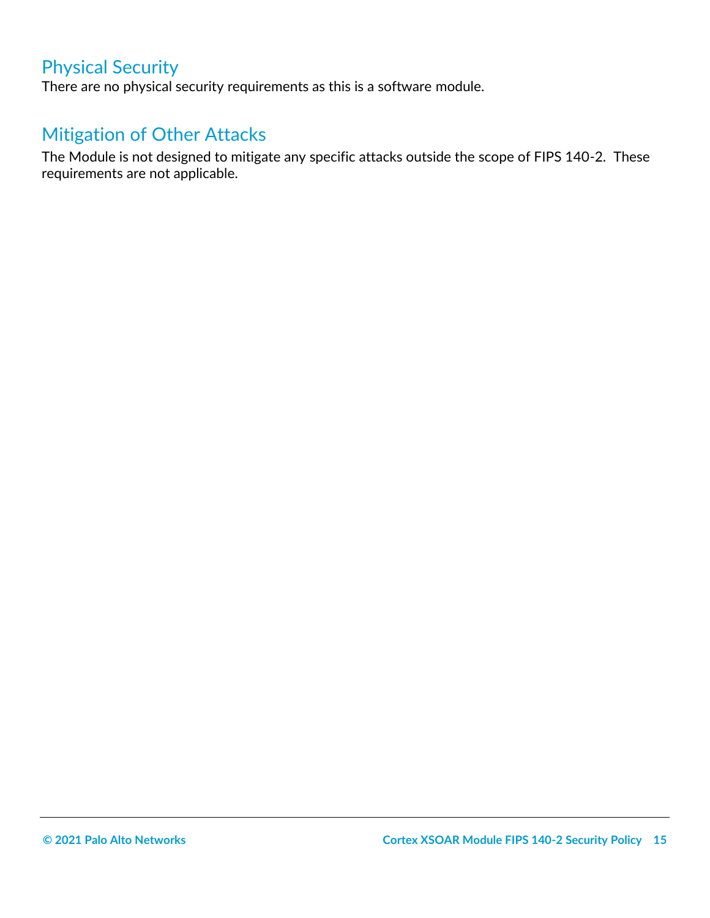# Physical Security

<span id="page-14-0"></span>There are no physical security requirements as this is a software module.

# Mitigation of Other Attacks

<span id="page-14-1"></span>The Module is not designed to mitigate any specific attacks outside the scope of FIPS 140-2. These requirements are not applicable.